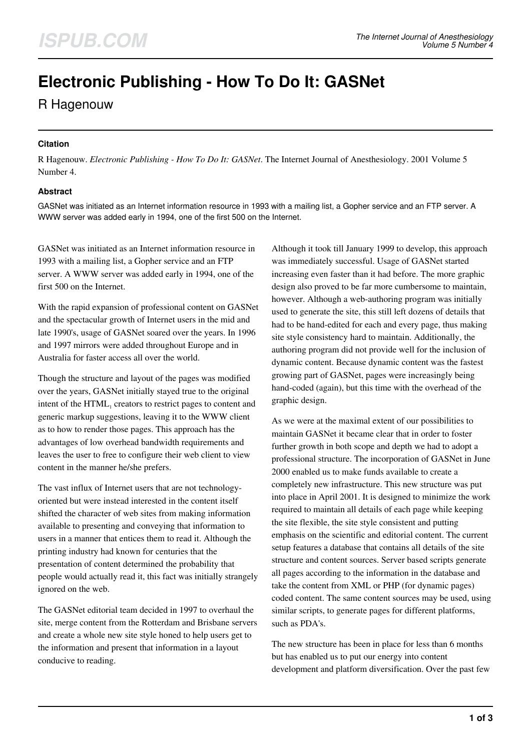# **Electronic Publishing - How To Do It: GASNet**

R Hagenouw

## **Citation**

R Hagenouw. *Electronic Publishing - How To Do It: GASNet*. The Internet Journal of Anesthesiology. 2001 Volume 5 Number 4.

### **Abstract**

GASNet was initiated as an Internet information resource in 1993 with a mailing list, a Gopher service and an FTP server. A WWW server was added early in 1994, one of the first 500 on the Internet.

GASNet was initiated as an Internet information resource in 1993 with a mailing list, a Gopher service and an FTP server. A WWW server was added early in 1994, one of the first 500 on the Internet.

With the rapid expansion of professional content on GASNet and the spectacular growth of Internet users in the mid and late 1990's, usage of GASNet soared over the years. In 1996 and 1997 mirrors were added throughout Europe and in Australia for faster access all over the world.

Though the structure and layout of the pages was modified over the years, GASNet initially stayed true to the original intent of the HTML<sub>1</sub> creators to restrict pages to content and generic markup suggestions, leaving it to the WWW client as to how to render those pages. This approach has the advantages of low overhead bandwidth requirements and leaves the user to free to configure their web client to view content in the manner he/she prefers.

The vast influx of Internet users that are not technologyoriented but were instead interested in the content itself shifted the character of web sites from making information available to presenting and conveying that information to users in a manner that entices them to read it. Although the printing industry had known for centuries that the presentation of content determined the probability that people would actually read it, this fact was initially strangely ignored on the web.

The GASNet editorial team decided in 1997 to overhaul the site, merge content from the Rotterdam and Brisbane servers and create a whole new site style honed to help users get to the information and present that information in a layout conducive to reading.

Although it took till January 1999 to develop, this approach was immediately successful. Usage of GASNet started increasing even faster than it had before. The more graphic design also proved to be far more cumbersome to maintain, however. Although a web-authoring program was initially used to generate the site, this still left dozens of details that had to be hand-edited for each and every page, thus making site style consistency hard to maintain. Additionally, the authoring program did not provide well for the inclusion of dynamic content. Because dynamic content was the fastest growing part of GASNet, pages were increasingly being hand-coded (again), but this time with the overhead of the graphic design.

As we were at the maximal extent of our possibilities to maintain GASNet it became clear that in order to foster further growth in both scope and depth we had to adopt a professional structure. The incorporation of GASNet in June 2000 enabled us to make funds available to create a completely new infrastructure. This new structure was put into place in April 2001. It is designed to minimize the work required to maintain all details of each page while keeping the site flexible, the site style consistent and putting emphasis on the scientific and editorial content. The current setup features a database that contains all details of the site structure and content sources. Server based scripts generate all pages according to the information in the database and take the content from XML or PHP (for dynamic pages) coded content. The same content sources may be used, using similar scripts, to generate pages for different platforms, such as PDA's.

The new structure has been in place for less than 6 months but has enabled us to put our energy into content development and platform diversification. Over the past few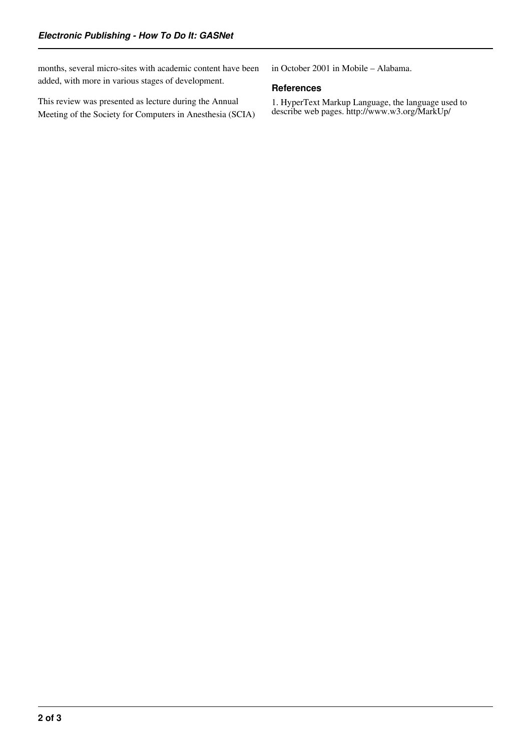months, several micro-sites with academic content have been added, with more in various stages of development.

This review was presented as lecture during the Annual Meeting of the Society for Computers in Anesthesia (SCIA) in October 2001 in Mobile – Alabama.

#### **References**

1. HyperText Markup Language, the language used to describe web pages. http://www.w3.org/MarkUp/